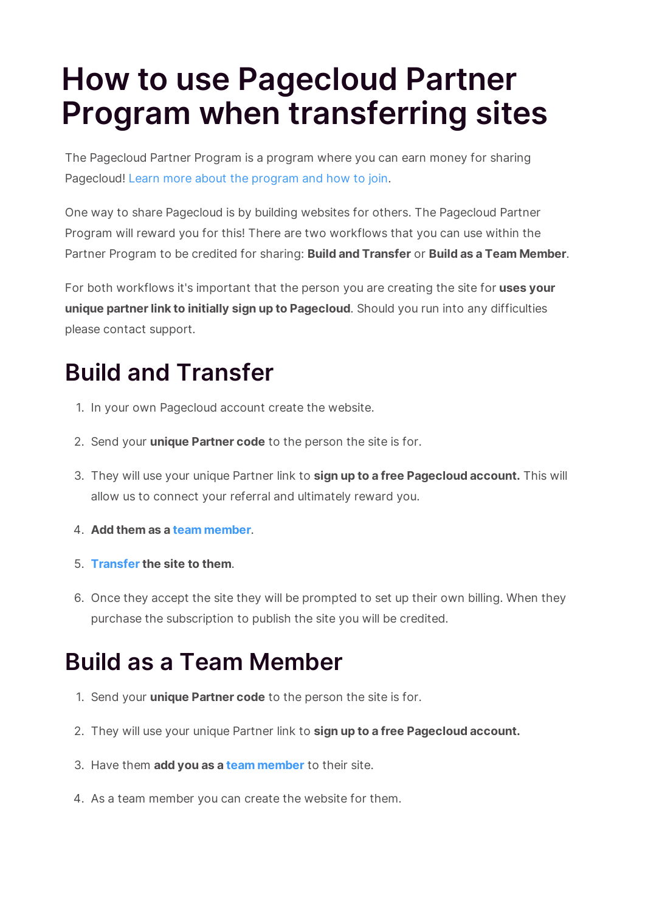## **How to use Pagecloud Partner Program when transferring sites**

The Pagecloud Partner Program is a program where you can earn money for sharing Pagecloud! Learn more about the program and how to join.

One way to share Pagecloud is by building websites for others. The Pagecloud Partner Program will reward you for this! There are two workflows that you can use within the Partner Program to be credited for sharing: **Build and Transfer** or **Build as a Team Member**.

For both workflows it's important that the person you are creating the site for **uses your unique partner link to initially sign up to Pagecloud**. Should you run into any difficulties please contact support.

## **Build and Transfer**

- 1. In your own Pagecloud account create the website.
- 2. Send your **unique Partner code** to the person the site is for.
- 3. They will use your unique Partner link to **sign up to a free Pagecloud account.** This will allow us to connect your referral and ultimately reward you.
- 4. **Add them as a team member**.
- 5. **Transfer the site to them**.
- 6. Once they accept the site they will be prompted to set up their own billing. When they purchase the subscription to publish the site you will be credited.

## **Build as a Team Member**

- 1. Send your **unique Partner code** to the person the site is for.
- 2. They will use your unique Partner link to **sign up to a free Pagecloud account.**
- 3. Have them **add you as a team member** to their site.
- 4. As a team member you can create the website for them.